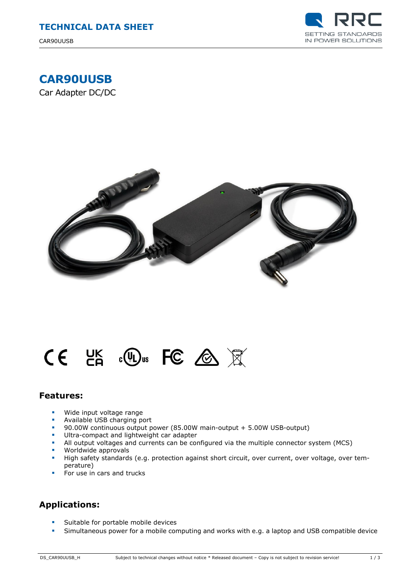

## **CAR90UUSB**

Car Adapter DC/DC



# $CE$  is the set of  $\mathbb{R}$

#### **Features:**

- **Wide input voltage range**
- **Available USB charging port**<br>**90.00W continuous output p**
- 90.00W continuous output power (85.00W main-output + 5.00W USB-output)
- Ultra-compact and lightweight car adapter
- All output voltages and currents can be configured via the multiple connector system (MCS)
- **Worldwide approvals**<br>**High safety standards**
- High safety standards (e.g. protection against short circuit, over current, over voltage, over temperature)
- For use in cars and trucks

#### **Applications:**

- **Suitable for portable mobile devices**
- Simultaneous power for a mobile computing and works with e.g. a laptop and USB compatible device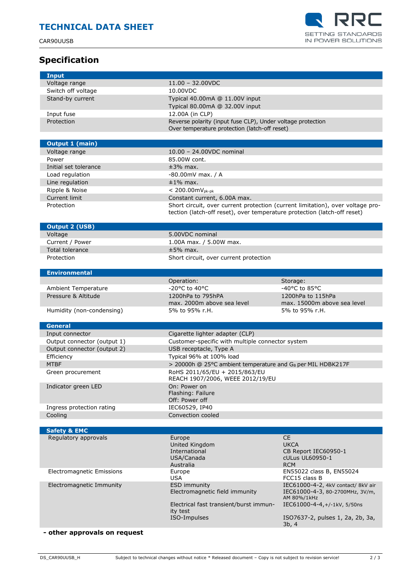CAR90UUSB

**Input**

Ē



### **Specification**

| Input                                           |                                                                                |                                                                       |
|-------------------------------------------------|--------------------------------------------------------------------------------|-----------------------------------------------------------------------|
| Voltage range                                   | $11.00 - 32.00$ VDC                                                            |                                                                       |
| Switch off voltage                              | 10.00VDC                                                                       |                                                                       |
| Stand-by current                                | Typical 40.00mA @ 11.00V input                                                 |                                                                       |
|                                                 | Typical 80.00mA @ 32.00V input                                                 |                                                                       |
| Input fuse                                      | 12.00A (in CLP)                                                                |                                                                       |
| Protection                                      | Reverse polarity (input fuse CLP), Under voltage protection                    |                                                                       |
|                                                 | Over temperature protection (latch-off reset)                                  |                                                                       |
|                                                 |                                                                                |                                                                       |
| <b>Output 1 (main)</b>                          |                                                                                |                                                                       |
| Voltage range                                   | 10.00 - 24.00VDC nominal                                                       |                                                                       |
| Power                                           | 85.00W cont.                                                                   |                                                                       |
| Initial set tolerance                           | $±3%$ max.                                                                     |                                                                       |
| Load regulation                                 | $-80.00$ mV max. / A                                                           |                                                                       |
| Line regulation                                 | $\pm 1\%$ max.                                                                 |                                                                       |
| Ripple & Noise                                  | $< 200.00$ m $V_{pk-pk}$                                                       |                                                                       |
| Current limit                                   | Constant current, 6.00A max.                                                   |                                                                       |
| Protection                                      | Short circuit, over current protection (current limitation), over voltage pro- |                                                                       |
|                                                 | tection (latch-off reset), over temperature protection (latch-off reset)       |                                                                       |
| <b>Output 2 (USB)</b>                           |                                                                                |                                                                       |
| Voltage                                         | 5.00VDC nominal                                                                |                                                                       |
| Current / Power                                 | 1.00A max. / 5.00W max.                                                        |                                                                       |
| <b>Total tolerance</b>                          | $±5%$ max.                                                                     |                                                                       |
| Protection                                      | Short circuit, over current protection                                         |                                                                       |
|                                                 |                                                                                |                                                                       |
| <b>Environmental</b>                            |                                                                                |                                                                       |
|                                                 | Operation:                                                                     | Storage:                                                              |
| <b>Ambient Temperature</b>                      | -20°C to 40°C                                                                  | -40°C to 85°C                                                         |
| Pressure & Altitude                             | 1200hPa to 795hPA                                                              | 1200hPa to 115hPa                                                     |
|                                                 | max. 2000m above sea level                                                     | max. 15000m above sea level                                           |
| Humidity (non-condensing)                       | 5% to 95% r.H.                                                                 | 5% to 95% r.H.                                                        |
| <b>General</b>                                  |                                                                                |                                                                       |
| Input connector                                 | Cigarette lighter adapter (CLP)                                                |                                                                       |
| Output connector (output 1)                     | Customer-specific with multiple connector system                               |                                                                       |
| Output connector (output 2)                     | USB receptacle, Type A                                                         |                                                                       |
| Efficiency                                      | Typical 96% at 100% load                                                       |                                                                       |
| <b>MTBF</b>                                     | > 20000h @ 25°C ambient temperature and G <sub>B</sub> per MIL HDBK217F        |                                                                       |
| Green procurement                               | RoHS 2011/65/EU + 2015/863/EU                                                  |                                                                       |
|                                                 | REACH 1907/2006, WEEE 2012/19/EU                                               |                                                                       |
| Indicator green LED                             | On: Power on                                                                   |                                                                       |
|                                                 | Flashing: Failure                                                              |                                                                       |
|                                                 | Off: Power off                                                                 |                                                                       |
| Ingress protection rating                       | IEC60529, IP40                                                                 |                                                                       |
| Cooling                                         | Convection cooled                                                              |                                                                       |
|                                                 |                                                                                |                                                                       |
| <b>Safety &amp; EMC</b><br>Regulatory approvals | Europe                                                                         | <b>CE</b>                                                             |
|                                                 | United Kingdom                                                                 | <b>UKCA</b>                                                           |
|                                                 | International                                                                  | CB Report IEC60950-1                                                  |
|                                                 | USA/Canada                                                                     | cULus UL60950-1                                                       |
|                                                 | Australia                                                                      | <b>RCM</b>                                                            |
| <b>Electromagnetic Emissions</b>                | Europe                                                                         | EN55022 class B, EN55024                                              |
|                                                 | <b>USA</b>                                                                     | FCC15 class B                                                         |
| Electromagnetic Immunity                        | ESD immunity<br>Electromagnetic field immunity                                 | IEC61000-4-2, 4kV contact/ 8kV air<br>IEC61000-4-3, 80-2700MHz, 3V/m, |
|                                                 |                                                                                | AM 80%/1kHz                                                           |
|                                                 |                                                                                |                                                                       |
|                                                 | Electrical fast transient/burst immun-                                         | IEC61000-4-4,+/-1kV, 5/50ns                                           |
|                                                 | ity test                                                                       |                                                                       |
|                                                 | ISO-Impulses                                                                   | ISO7637-2, pulses 1, 2a, 2b, 3a,                                      |
| - other approvals on request                    |                                                                                | 3b, 4                                                                 |